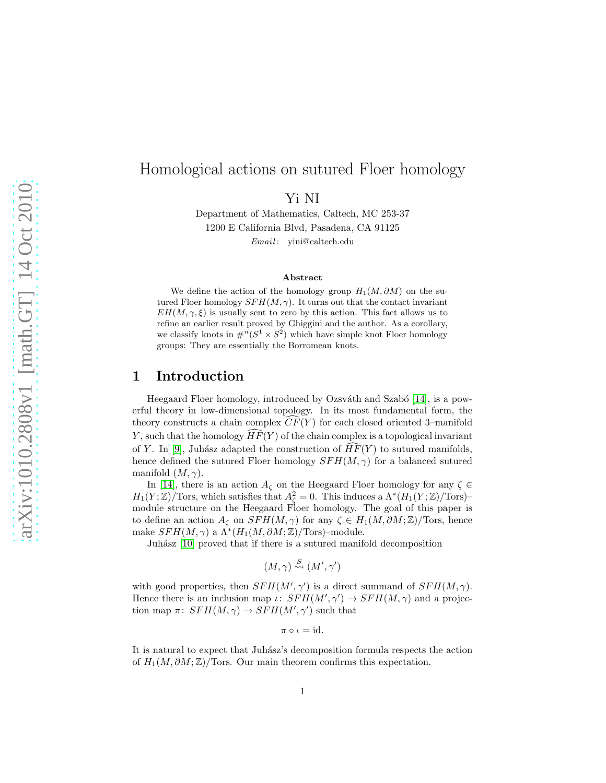# Homological actions on sutured Floer homology

Yi NI

Department of Mathematics, Caltech, MC 253-37 1200 E California Blvd, Pasadena, CA 91125

 $Email:$  yini@caltech.edu

#### Abstract

We define the action of the homology group  $H_1(M, \partial M)$  on the sutured Floer homology  $SFH(M, \gamma)$ . It turns out that the contact invariant  $EH(M, \gamma, \xi)$  is usually sent to zero by this action. This fact allows us to refine an earlier result proved by Ghiggini and the author. As a corollary, we classify knots in  $\#^n(S^1 \times S^2)$  which have simple knot Floer homology groups: They are essentially the Borromean knots.

### 1 Introduction

Heegaard Floer homology, introduced by Ozsváth and Szabó [\[14\]](#page-16-0), is a powerful theory in low-dimensional topology. In its most fundamental form, the theory constructs a chain complex  $CF(Y)$  for each closed oriented 3–manifold Y, such that the homology  $\widehat{HF}(Y)$  of the chain complex is a topological invariant of Y. In [\[9\]](#page-15-0), Juhász adapted the construction of  $HF(Y)$  to sutured manifolds, hence defined the sutured Floer homology  $SFH(M, \gamma)$  for a balanced sutured manifold  $(M, \gamma)$ .

In [\[14\]](#page-16-0), there is an action  $A_{\zeta}$  on the Heegaard Floer homology for any  $\zeta \in$  $H_1(Y;\mathbb{Z})/\text{Tors},$  which satisfies that  $A_\zeta^2=0$ . This induces a  $\Lambda^*(H_1(Y;\mathbb{Z})/\text{Tors})$ module structure on the Heegaard Floer homology. The goal of this paper is to define an action  $A_{\zeta}$  on  $SFH(M,\gamma)$  for any  $\zeta \in H_1(M,\partial M;\mathbb{Z})$ /Tors, hence make  $SFH(M,\gamma)$  a  $\Lambda^*(H_1(M,\partial M;\mathbb{Z})/\text{Tors})$ -module.

Juhász [\[10\]](#page-15-1) proved that if there is a sutured manifold decomposition

$$
(M,\gamma) \stackrel{S}{\leadsto} (M',\gamma')
$$

with good properties, then  $SFH(M', \gamma')$  is a direct summand of  $SFH(M, \gamma)$ . Hence there is an inclusion map  $\iota: SFH(M', \gamma') \to SFH(M, \gamma)$  and a projection map  $\pi$ :  $SFH(M,\gamma) \rightarrow SFH(M',\gamma')$  such that

 $\pi \circ \iota = \mathrm{id}.$ 

It is natural to expect that Juhász's decomposition formula respects the action of  $H_1(M, \partial M; \mathbb{Z})$ /Tors. Our main theorem confirms this expectation.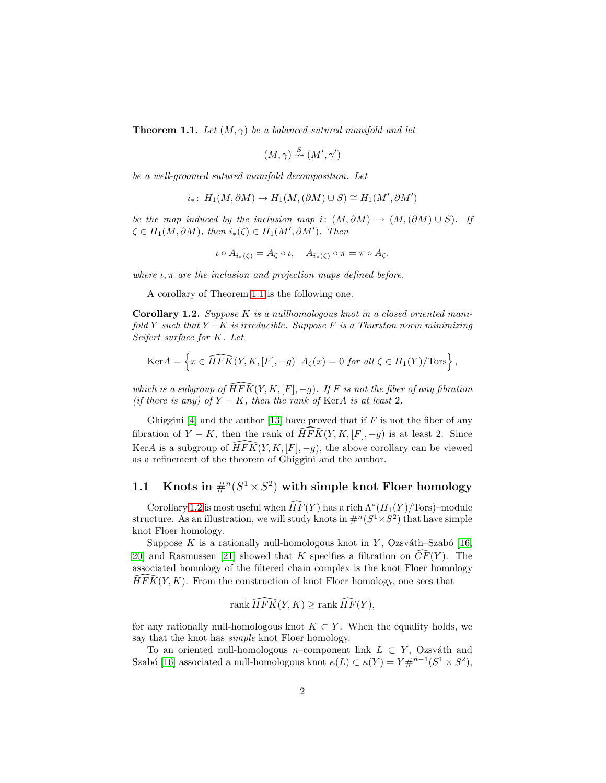<span id="page-1-0"></span>**Theorem 1.1.** Let  $(M, \gamma)$  be a balanced sutured manifold and let

$$
(M,\gamma) \stackrel{S}{\rightsquigarrow} (M',\gamma')
$$

*be a well-groomed sutured manifold decomposition. Let*

$$
i_*\colon H_1(M, \partial M) \to H_1(M, (\partial M) \cup S) \cong H_1(M', \partial M')
$$

*be the map induced by the inclusion map i*:  $(M, \partial M) \rightarrow (M, (\partial M) \cup S)$ *. If*  $\zeta \in H_1(M, \partial M)$ , then  $i_*(\zeta) \in H_1(M', \partial M')$ . Then

$$
\iota \circ A_{i_{*}(\zeta)} = A_{\zeta} \circ \iota, \quad A_{i_{*}(\zeta)} \circ \pi = \pi \circ A_{\zeta}.
$$

*where*  $\iota$ ,  $\pi$  *are the inclusion and projection maps defined before.* 

A corollary of Theorem [1.1](#page-1-0) is the following one.

<span id="page-1-1"></span>Corollary 1.2. *Suppose* K *is a nullhomologous knot in a closed oriented manifold* Y *such that* Y −K *is irreducible. Suppose* F *is a Thurston norm minimizing Seifert surface for* K*. Let*

$$
\text{Ker} A = \left\{ x \in \widehat{HFK}(Y,K,[F], -g) \middle| A_{\zeta}(x) = 0 \text{ for all } \zeta \in H_1(Y)/\text{Tors} \right\},\
$$

*which is a subgroup of*  $\widehat{HFK}(Y, K, [F], -g)$ *. If* F *is not the fiber of any fibration (if there is any) of*  $Y - K$ *, then the rank of* KerA *is at least* 2*.* 

Ghiggini [\[4\]](#page-15-2) and the author [\[13\]](#page-16-1) have proved that if  $F$  is not the fiber of any fibration of  $Y - K$ , then the rank of  $\widehat{HFK}(Y, K, [F], -g)$  is at least 2. Since KerA is a subgroup of  $\widehat{HFK}(Y, K, [F], -g)$ , the above corollary can be viewed as a refinement of the theorem of Ghiggini and the author.

## 1.1 Knots in  $\#^n(S^1 \times S^2)$  with simple knot Floer homology

Corollary [1.2](#page-1-1) is most useful when  $\widehat{HF}(Y)$  has a rich  $\Lambda^*(H_1(Y)/\text{Tors})$ -module structure. As an illustration, we will study knots in  $\#^n(S^1 \times S^2)$  that have simple knot Floer homology.

Suppose K is a rationally null-homologous knot in Y, Ozsváth–Szabó [\[16,](#page-16-2) [20\]](#page-16-3) and Rasmussen [\[21\]](#page-16-4) showed that K specifies a filtration on  $CF(Y)$ . The associated homology of the filtered chain complex is the knot Floer homology<br> $\widehat{HFK}(Y, K)$ . From the construction of knot Floer homology, one sees that  $HFK(Y, K)$ . From the construction of knot Floer homology, one sees that

$$
\operatorname{rank}\widehat{HFK}(Y,K)\geq\operatorname{rank}\widehat{HF}(Y),
$$

for any rationally null-homologous knot  $K \subset Y$ . When the equality holds, we say that the knot has *simple* knot Floer homology.

To an oriented null-homologous n–component link  $L \subset Y$ , Ozsváth and Szabó [\[16\]](#page-16-2) associated a null-homologous knot  $\kappa(L) \subset \kappa(Y) = Y \#^{n-1}(S^1 \times S^2)$ ,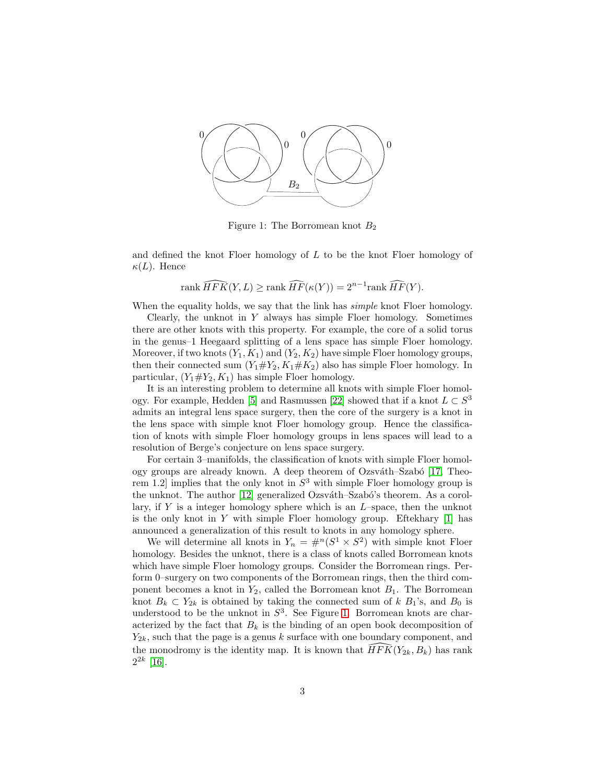

<span id="page-2-0"></span>Figure 1: The Borromean knot  $B_2$ 

and defined the knot Floer homology of  $L$  to be the knot Floer homology of  $\kappa(L)$ . Hence

rank 
$$
\widehat{HFK}(Y, L) \geq \text{rank }\widehat{HF}(\kappa(Y)) = 2^{n-1}\text{rank }\widehat{HF}(Y).
$$

When the equality holds, we say that the link has *simple* knot Floer homology.

Clearly, the unknot in  $Y$  always has simple Floer homology. Sometimes there are other knots with this property. For example, the core of a solid torus in the genus–1 Heegaard splitting of a lens space has simple Floer homology. Moreover, if two knots  $(Y_1, K_1)$  and  $(Y_2, K_2)$  have simple Floer homology groups, then their connected sum  $(Y_1 \# Y_2, K_1 \# K_2)$  also has simple Floer homology. In particular,  $(Y_1 \# Y_2, K_1)$  has simple Floer homology.

It is an interesting problem to determine all knots with simple Floer homol-ogy. For example, Hedden [\[5\]](#page-15-3) and Rasmussen [\[22\]](#page-16-5) showed that if a knot  $L \subset S^3$ admits an integral lens space surgery, then the core of the surgery is a knot in the lens space with simple knot Floer homology group. Hence the classification of knots with simple Floer homology groups in lens spaces will lead to a resolution of Berge's conjecture on lens space surgery.

For certain 3–manifolds, the classification of knots with simple Floer homol-ogy groups are already known. A deep theorem of Ozsváth–Szabó [\[17,](#page-16-6) Theorem 1.2 implies that the only knot in  $S^3$  with simple Floer homology group is the unknot. The author  $[12]$  generalized Ozsváth–Szabó's theorem. As a corollary, if  $Y$  is a integer homology sphere which is an  $L$ –space, then the unknot is the only knot in Y with simple Floer homology group. Eftekhary  $[1]$  has announced a generalization of this result to knots in any homology sphere.

We will determine all knots in  $Y_n = #^n(S^1 \times S^2)$  with simple knot Floer homology. Besides the unknot, there is a class of knots called Borromean knots which have simple Floer homology groups. Consider the Borromean rings. Perform 0–surgery on two components of the Borromean rings, then the third component becomes a knot in  $Y_2$ , called the Borromean knot  $B_1$ . The Borromean knot  $B_k \subset Y_{2k}$  is obtained by taking the connected sum of k  $B_1$ 's, and  $B_0$  is understood to be the unknot in  $S^3$ . See Figure [1.](#page-2-0) Borromean knots are characterized by the fact that  $B_k$  is the binding of an open book decomposition of  $Y_{2k}$ , such that the page is a genus k surface with one boundary component, and the monodromy is the identity map. It is known that  $\widehat{HFK}(Y_{2k}, B_k)$  has rank  $2^{2k}$  [\[16\]](#page-16-2).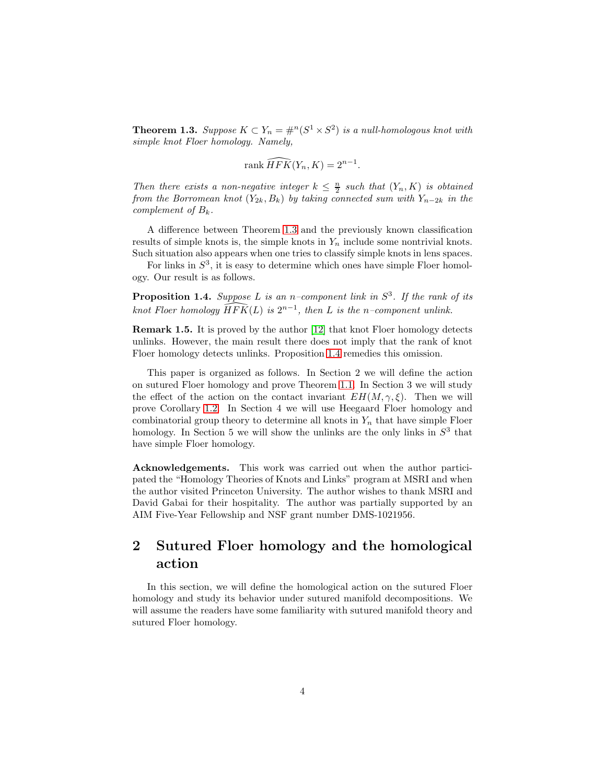<span id="page-3-0"></span>**Theorem 1.3.** *Suppose*  $K \subset Y_n = \#^n(S^1 \times S^2)$  *is a null-homologous knot with simple knot Floer homology. Namely,*

$$
\operatorname{rank}\widehat{HFK}(Y_n,K) = 2^{n-1}.
$$

*Then there exists a non-negative integer*  $k \leq \frac{n}{2}$  *such that*  $(Y_n, K)$  *is obtained from the Borromean knot*  $(Y_{2k}, B_k)$  *by taking connected sum with*  $Y_{n-2k}$  *in the complement of*  $B_k$ .

A difference between Theorem [1.3](#page-3-0) and the previously known classification results of simple knots is, the simple knots in  $Y_n$  include some nontrivial knots. Such situation also appears when one tries to classify simple knots in lens spaces.

For links in  $S^3$ , it is easy to determine which ones have simple Floer homology. Our result is as follows.

<span id="page-3-1"></span>Proposition 1.4. *Suppose L is an n–component link in*  $S^3$ *. If the rank of its*  $k$ not Floer homology  $\widehat{HFK}(L)$  *is*  $2^{n-1}$ *, then L is the n*-component unlink.

Remark 1.5. It is proved by the author [\[12\]](#page-16-7) that knot Floer homology detects unlinks. However, the main result there does not imply that the rank of knot Floer homology detects unlinks. Proposition [1.4](#page-3-1) remedies this omission.

This paper is organized as follows. In Section 2 we will define the action on sutured Floer homology and prove Theorem [1.1.](#page-1-0) In Section 3 we will study the effect of the action on the contact invariant  $EH(M, \gamma, \xi)$ . Then we will prove Corollary [1.2.](#page-1-1) In Section 4 we will use Heegaard Floer homology and combinatorial group theory to determine all knots in  $Y_n$  that have simple Floer homology. In Section 5 we will show the unlinks are the only links in  $S<sup>3</sup>$  that have simple Floer homology.

Acknowledgements. This work was carried out when the author participated the "Homology Theories of Knots and Links" program at MSRI and when the author visited Princeton University. The author wishes to thank MSRI and David Gabai for their hospitality. The author was partially supported by an AIM Five-Year Fellowship and NSF grant number DMS-1021956.

## 2 Sutured Floer homology and the homological action

In this section, we will define the homological action on the sutured Floer homology and study its behavior under sutured manifold decompositions. We will assume the readers have some familiarity with sutured manifold theory and sutured Floer homology.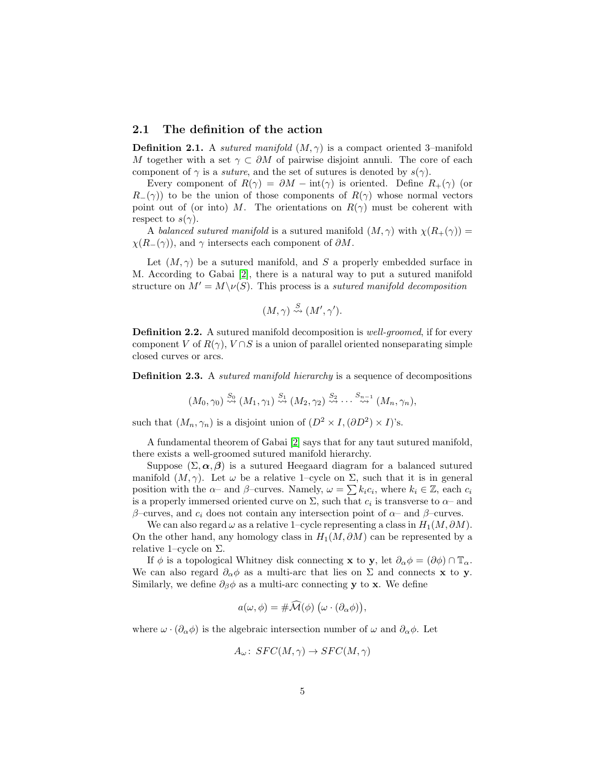#### 2.1 The definition of the action

**Definition 2.1.** A *sutured manifold*  $(M, \gamma)$  is a compact oriented 3–manifold M together with a set  $\gamma \subset \partial M$  of pairwise disjoint annuli. The core of each component of  $\gamma$  is a *suture*, and the set of sutures is denoted by  $s(\gamma)$ .

Every component of  $R(\gamma) = \partial M - \text{int}(\gamma)$  is oriented. Define  $R_+(\gamma)$  (or  $R_-(\gamma)$  to be the union of those components of  $R(\gamma)$  whose normal vectors point out of (or into) M. The orientations on  $R(\gamma)$  must be coherent with respect to  $s(\gamma)$ .

A *balanced sutured manifold* is a sutured manifold  $(M, \gamma)$  with  $\chi(R_+(\gamma)) =$  $\chi(R_-(\gamma))$ , and  $\gamma$  intersects each component of  $\partial M$ .

Let  $(M, \gamma)$  be a sutured manifold, and S a properly embedded surface in M. According to Gabai [\[2\]](#page-15-5), there is a natural way to put a sutured manifold structure on  $M' = M \setminus \nu(S)$ . This process is a *sutured manifold decomposition* 

$$
(M,\gamma) \stackrel{S}{\rightsquigarrow} (M',\gamma').
$$

Definition 2.2. A sutured manifold decomposition is *well-groomed*, if for every component V of  $R(\gamma)$ ,  $V \cap S$  is a union of parallel oriented nonseparating simple closed curves or arcs.

Definition 2.3. A *sutured manifold hierarchy* is a sequence of decompositions

$$
(M_0, \gamma_0) \stackrel{S_0}{\rightsquigarrow} (M_1, \gamma_1) \stackrel{S_1}{\rightsquigarrow} (M_2, \gamma_2) \stackrel{S_2}{\rightsquigarrow} \cdots \stackrel{S_{n-1}}{\rightsquigarrow} (M_n, \gamma_n),
$$

such that  $(M_n, \gamma_n)$  is a disjoint union of  $(D^2 \times I, (\partial D^2) \times I)$ 's.

A fundamental theorem of Gabai [\[2\]](#page-15-5) says that for any taut sutured manifold, there exists a well-groomed sutured manifold hierarchy.

Suppose  $(\Sigma, \alpha, \beta)$  is a sutured Heegaard diagram for a balanced sutured manifold  $(M, \gamma)$ . Let  $\omega$  be a relative 1–cycle on  $\Sigma$ , such that it is in general position with the  $\alpha$ - and  $\beta$ -curves. Namely,  $\omega = \sum k_i c_i$ , where  $k_i \in \mathbb{Z}$ , each  $c_i$ is a properly immersed oriented curve on  $\Sigma$ , such that  $c_i$  is transverse to  $\alpha$ - and β–curves, and  $c_i$  does not contain any intersection point of  $\alpha$ – and β–curves.

We can also regard  $\omega$  as a relative 1–cycle representing a class in  $H_1(M, \partial M)$ . On the other hand, any homology class in  $H_1(M, \partial M)$  can be represented by a relative 1–cycle on  $\Sigma$ .

If  $\phi$  is a topological Whitney disk connecting **x** to **y**, let  $\partial_{\alpha} \phi = (\partial \phi) \cap \mathbb{T}_{\alpha}$ . We can also regard  $\partial_{\alpha}\phi$  as a multi-arc that lies on  $\Sigma$  and connects **x** to **y**. Similarly, we define  $\partial_{\beta}\phi$  as a multi-arc connecting y to x. We define

$$
a(\omega, \phi) = #\widehat{\mathcal{M}}(\phi) \left(\omega \cdot (\partial_{\alpha} \phi)\right),
$$

where  $\omega \cdot (\partial_{\alpha} \phi)$  is the algebraic intersection number of  $\omega$  and  $\partial_{\alpha} \phi$ . Let

$$
A_{\omega}: SFC(M, \gamma) \to SFC(M, \gamma)
$$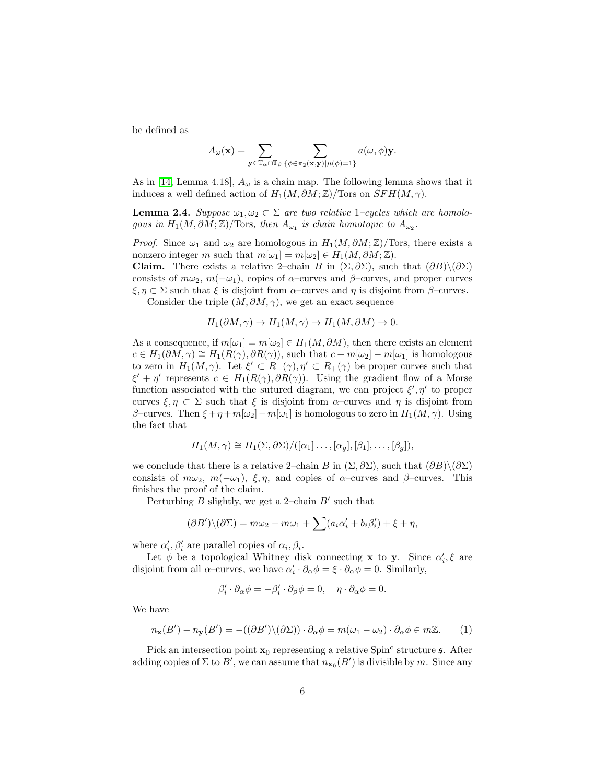be defined as

$$
A_{\omega}(\mathbf{x}) = \sum_{\mathbf{y} \in \mathbb{T}_{\alpha} \cap \mathbb{T}_{\beta}} \sum_{\{\phi \in \pi_2(\mathbf{x}, \mathbf{y}) | \mu(\phi) = 1\}} a(\omega, \phi) \mathbf{y}.
$$

As in [\[14,](#page-16-0) Lemma 4.18],  $A_{\omega}$  is a chain map. The following lemma shows that it induces a well defined action of  $H_1(M, \partial M; \mathbb{Z})$ /Tors on  $SFH(M, \gamma)$ .

**Lemma 2.4.** *Suppose*  $\omega_1, \omega_2 \subset \Sigma$  *are two relative* 1*–cycles which are homologous in*  $H_1(M, \partial M; \mathbb{Z})$ /Tors, then  $A_{\omega_1}$  is chain homotopic to  $A_{\omega_2}$ .

*Proof.* Since  $\omega_1$  and  $\omega_2$  are homologous in  $H_1(M, \partial M; \mathbb{Z})$ /Tors, there exists a nonzero integer m such that  $m[\omega_1] = m[\omega_2] \in H_1(M, \partial M; \mathbb{Z}).$ 

Claim. There exists a relative 2–chain B in  $(\Sigma, \partial \Sigma)$ , such that  $(\partial B) \setminus (\partial \Sigma)$ consists of  $m\omega_2$ ,  $m(-\omega_1)$ , copies of  $\alpha$ –curves and  $\beta$ –curves, and proper curves  $\xi, \eta \subset \Sigma$  such that  $\xi$  is disjoint from  $\alpha$ –curves and  $\eta$  is disjoint from  $\beta$ –curves.

Consider the triple  $(M, \partial M, \gamma)$ , we get an exact sequence

$$
H_1(\partial M, \gamma) \to H_1(M, \gamma) \to H_1(M, \partial M) \to 0.
$$

As a consequence, if  $m[\omega_1] = m[\omega_2] \in H_1(M, \partial M)$ , then there exists an element  $c \in H_1(\partial M, \gamma) \cong H_1(R(\gamma), \partial R(\gamma))$ , such that  $c + m[\omega_2] - m[\omega_1]$  is homologous to zero in  $H_1(M,\gamma)$ . Let  $\xi' \subset R_-(\gamma), \eta' \subset R_+(\gamma)$  be proper curves such that  $\xi' + \eta'$  represents  $c \in H_1(R(\gamma), \partial R(\gamma))$ . Using the gradient flow of a Morse function associated with the sutured diagram, we can project  $\xi', \eta'$  to proper curves  $\xi, \eta \subset \Sigma$  such that  $\xi$  is disjoint from  $\alpha$ -curves and  $\eta$  is disjoint from β–curves. Then  $\xi + \eta + m[\omega_2] - m[\omega_1]$  is homologous to zero in  $H_1(M, \gamma)$ . Using the fact that

$$
H_1(M,\gamma) \cong H_1(\Sigma,\partial\Sigma)/([\alpha_1]\ldots,[\alpha_g],[\beta_1],\ldots,[\beta_g]),
$$

we conclude that there is a relative 2–chain B in  $(\Sigma, \partial \Sigma)$ , such that  $(\partial B) \setminus (\partial \Sigma)$ consists of  $m\omega_2$ ,  $m(-\omega_1)$ ,  $\xi, \eta$ , and copies of  $\alpha$ –curves and  $\beta$ –curves. This finishes the proof of the claim.

Perturbing  $B$  slightly, we get a 2-chain  $B'$  such that

$$
(\partial B')\setminus(\partial \Sigma)=m\omega_2-m\omega_1+\sum(a_i\alpha_i'+b_i\beta_i')+\xi+\eta,
$$

where  $\alpha'_i, \beta'_i$  are parallel copies of  $\alpha_i, \beta_i$ .

Let  $\phi$  be a topological Whitney disk connecting **x** to **y**. Since  $\alpha'_i$ ,  $\xi$  are disjoint from all  $\alpha$ -curves, we have  $\alpha'_i \cdot \partial_\alpha \phi = \xi \cdot \partial_\alpha \phi = 0$ . Similarly,

$$
\beta_i' \cdot \partial_{\alpha} \phi = -\beta_i' \cdot \partial_{\beta} \phi = 0, \quad \eta \cdot \partial_{\alpha} \phi = 0.
$$

We have

<span id="page-5-0"></span>
$$
n_{\mathbf{x}}(B') - n_{\mathbf{y}}(B') = -((\partial B') \setminus (\partial \Sigma)) \cdot \partial_{\alpha} \phi = m(\omega_1 - \omega_2) \cdot \partial_{\alpha} \phi \in m\mathbb{Z}.
$$
 (1)

Pick an intersection point  $x_0$  representing a relative Spin<sup>c</sup> structure  $\mathfrak{s}$ . After adding copies of  $\Sigma$  to  $B'$ , we can assume that  $n_{\mathbf{x}_0}(B')$  is divisible by m. Since any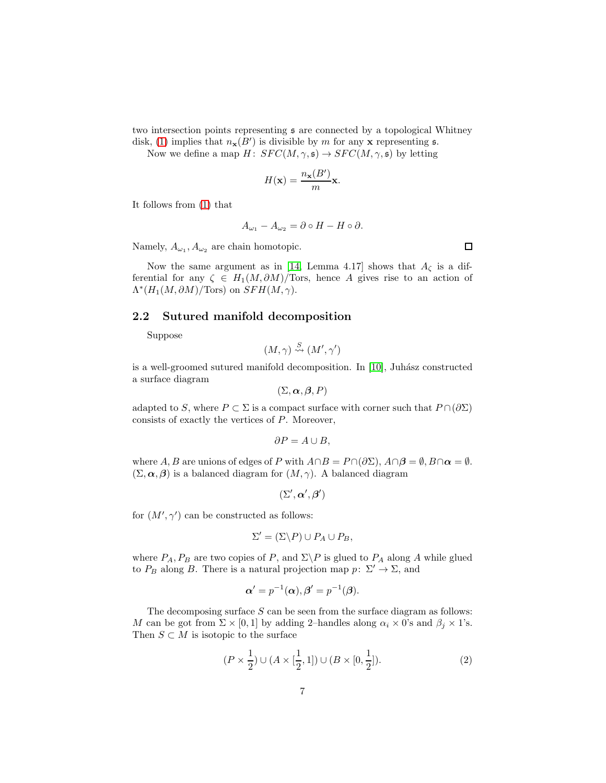two intersection points representing s are connected by a topological Whitney

disk, [\(1\)](#page-5-0) implies that  $n_{\mathbf{x}}(B')$  is divisible by m for any x representing s. Now we define a map  $H: SFC(M,\gamma, \mathfrak{s}) \to SFC(M,\gamma, \mathfrak{s})$  by letting

$$
H(\mathbf{x}) = \frac{n_{\mathbf{x}}(B')}{m} \mathbf{x}.
$$

It follows from [\(1\)](#page-5-0) that

$$
A_{\omega_1} - A_{\omega_2} = \partial \circ H - H \circ \partial.
$$

Namely,  $A_{\omega_1}, A_{\omega_2}$  are chain homotopic.

Now the same argument as in [\[14,](#page-16-0) Lemma 4.17] shows that  $A_{\zeta}$  is a differential for any  $\zeta \in H_1(M, \partial M)/\text{Tors}$ , hence A gives rise to an action of  $\Lambda^*(H_1(M, \partial M)/\text{Tors})$  on  $SFH(M, \gamma)$ .

#### 2.2 Sutured manifold decomposition

Suppose

$$
(M,\gamma) \stackrel{S}{\rightsquigarrow} (M',\gamma')
$$

is a well-groomed sutured manifold decomposition. In  $[10]$ , Juhász constructed a surface diagram

$$
(\Sigma,\boldsymbol{\alpha},\boldsymbol{\beta},P)
$$

adapted to S, where  $P \subset \Sigma$  is a compact surface with corner such that  $P \cap (\partial \Sigma)$ consists of exactly the vertices of P. Moreover,

$$
\partial P = A \cup B,
$$

where A, B are unions of edges of P with  $A \cap B = P \cap (\partial \Sigma)$ ,  $A \cap \beta = \emptyset$ ,  $B \cap \alpha = \emptyset$ .  $(\Sigma, \alpha, \beta)$  is a balanced diagram for  $(M, \gamma)$ . A balanced diagram

$$
(\Sigma',\boldsymbol{\alpha}',\boldsymbol{\beta}')
$$

for  $(M', \gamma')$  can be constructed as follows:

$$
\Sigma' = (\Sigma \backslash P) \cup P_A \cup P_B,
$$

where  $P_A$ ,  $P_B$  are two copies of P, and  $\Sigma \backslash P$  is glued to  $P_A$  along A while glued to  $P_B$  along B. There is a natural projection map  $p: \Sigma' \to \Sigma$ , and

$$
\boldsymbol{\alpha}' = p^{-1}(\boldsymbol{\alpha}), \boldsymbol{\beta}' = p^{-1}(\boldsymbol{\beta}).
$$

The decomposing surface  $S$  can be seen from the surface diagram as follows: M can be got from  $\Sigma \times [0,1]$  by adding 2–handles along  $\alpha_i \times 0$ 's and  $\beta_j \times 1$ 's. Then  $S\subset M$  is isotopic to the surface

<span id="page-6-0"></span>
$$
(P \times \frac{1}{2}) \cup (A \times [\frac{1}{2}, 1]) \cup (B \times [0, \frac{1}{2}]).
$$
 (2)

 $\Box$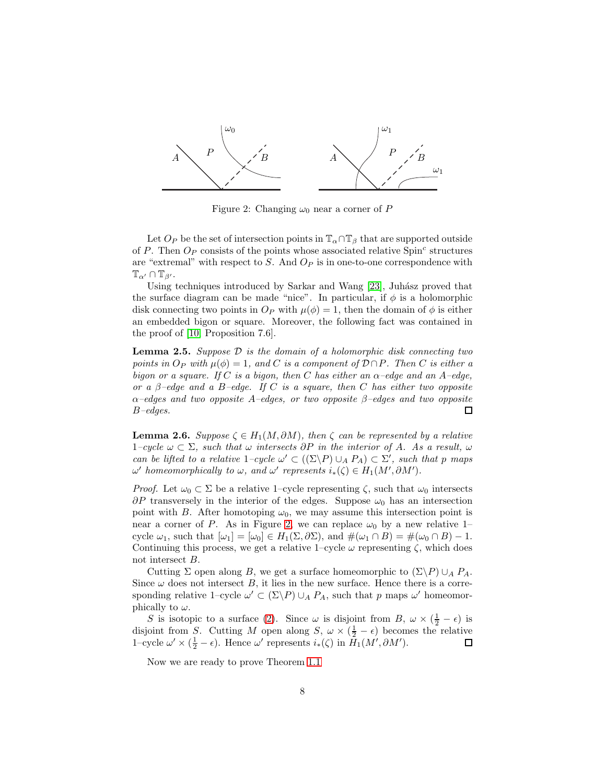

<span id="page-7-0"></span>Figure 2: Changing  $\omega_0$  near a corner of P

Let  $O_P$  be the set of intersection points in  $\mathbb{T}_{\alpha} \cap \mathbb{T}_{\beta}$  that are supported outside of P. Then  $O_P$  consists of the points whose associated relative Spin<sup>c</sup> structures are "extremal" with respect to  $S$ . And  $O_P$  is in one-to-one correspondence with  $\mathbb{T}_{\alpha'} \cap \mathbb{T}_{\beta'}$ .

Using techniques introduced by Sarkar and Wang [\[23\]](#page-16-8), Juhász proved that the surface diagram can be made "nice". In particular, if  $\phi$  is a holomorphic disk connecting two points in  $O_P$  with  $\mu(\phi) = 1$ , then the domain of  $\phi$  is either an embedded bigon or square. Moreover, the following fact was contained in the proof of [\[10,](#page-15-1) Proposition 7.6].

<span id="page-7-2"></span>Lemma 2.5. *Suppose* D *is the domain of a holomorphic disk connecting two points in*  $O_P$  *with*  $\mu(\phi) = 1$ *, and* C *is a component of*  $D \cap P$ *. Then* C *is either a bigon or a square. If* C *is a bigon, then* C *has either an*  $\alpha$ -edge and an  $A$ -edge, *or a* β*–edge and a* B*–edge. If* C *is a square, then* C *has either two opposite* α*–edges and two opposite* A*–edges, or two opposite* β*–edges and two opposite* B*–edges.* 口

<span id="page-7-1"></span>**Lemma 2.6.** *Suppose*  $\zeta \in H_1(M, \partial M)$ *, then*  $\zeta$  *can be represented by a relative* 1*–cycle* ω ⊂ Σ*, such that* ω *intersects* ∂P *in the interior of* A*. As a result,* ω *can be lifted to a relative*  $1$ *-cycle*  $\omega' \subset ((\Sigma \backslash P) \cup_A P_A) \subset \Sigma'$ , such that p maps  $\omega'$  homeomorphically to  $\omega$ , and  $\omega'$  represents  $i_*(\zeta) \in H_1(M', \partial M')$ .

*Proof.* Let  $\omega_0 \subset \Sigma$  be a relative 1–cycle representing  $\zeta$ , such that  $\omega_0$  intersects  $\partial P$  transversely in the interior of the edges. Suppose  $\omega_0$  has an intersection point with B. After homotoping  $\omega_0$ , we may assume this intersection point is near a corner of P. As in Figure [2,](#page-7-0) we can replace  $\omega_0$  by a new relative 1– cycle  $\omega_1$ , such that  $[\omega_1] = [\omega_0] \in H_1(\Sigma, \partial \Sigma)$ , and  $\#(\omega_1 \cap B) = \#(\omega_0 \cap B) - 1$ . Continuing this process, we get a relative 1–cycle  $\omega$  representing  $\zeta$ , which does not intersect B.

Cutting  $\Sigma$  open along B, we get a surface homeomorphic to  $(\Sigma \backslash P) \cup_A P_A$ . Since  $\omega$  does not intersect B, it lies in the new surface. Hence there is a corresponding relative 1–cycle  $\omega' \subset (\Sigma \backslash P) \cup_A P_A$ , such that p maps  $\omega'$  homeomorphically to  $\omega$ .

S is isotopic to a surface [\(2\)](#page-6-0). Since  $\omega$  is disjoint from B,  $\omega \times (\frac{1}{2} - \epsilon)$  is disjoint from S. Cutting M open along  $S, \omega \times (\frac{1}{2} - \epsilon)$  becomes the relative 1–cycle  $\omega' \times (\frac{1}{2} - \epsilon)$ . Hence  $\omega'$  represents  $i_*(\zeta)$  in  $\overline{H}_1(M', \partial M')$ .

Now we are ready to prove Theorem [1.1](#page-1-0)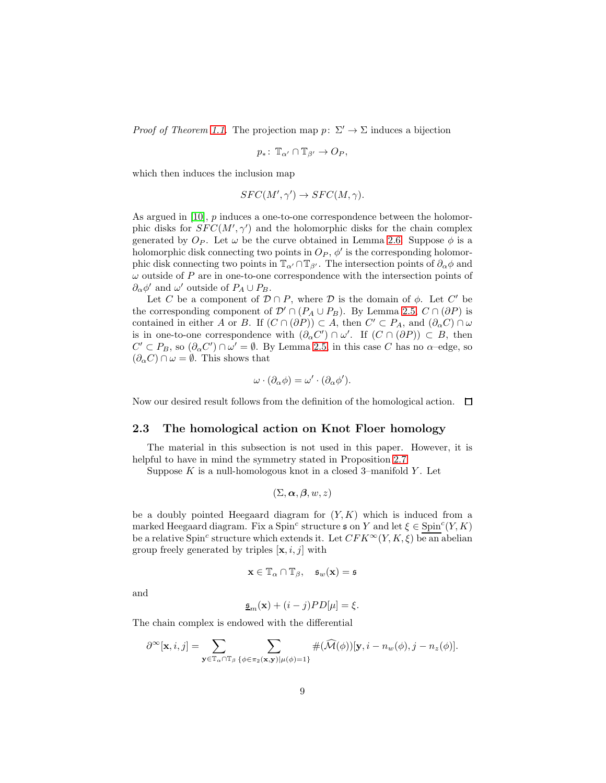*Proof of Theorem [1.1.](#page-1-0)* The projection map  $p: \Sigma' \to \Sigma$  induces a bijection

$$
p_*\colon \mathbb{T}_{\alpha'} \cap \mathbb{T}_{\beta'} \to O_P,
$$

which then induces the inclusion map

$$
SFC(M',\gamma') \to SFC(M,\gamma).
$$

As argued in  $[10]$ ,  $p$  induces a one-to-one correspondence between the holomorphic disks for  $SFC(M', \gamma')$  and the holomorphic disks for the chain complex generated by  $O_P$ . Let  $\omega$  be the curve obtained in Lemma [2.6.](#page-7-1) Suppose  $\phi$  is a holomorphic disk connecting two points in  $O_P$ ,  $\phi'$  is the corresponding holomorphic disk connecting two points in  $\mathbb{T}_{\alpha'} \cap \mathbb{T}_{\beta'}$ . The intersection points of  $\partial_{\alpha}\phi$  and  $\omega$  outside of P are in one-to-one correspondence with the intersection points of  $\partial_{\alpha}\phi'$  and  $\omega'$  outside of  $P_A \cup P_B$ .

Let C be a component of  $\mathcal{D} \cap P$ , where D is the domain of  $\phi$ . Let C' be the corresponding component of  $\mathcal{D}' \cap (P_A \cup P_B)$ . By Lemma [2.5,](#page-7-2)  $C \cap (\partial P)$  is contained in either A or B. If  $(C \cap (\partial P)) \subset A$ , then  $C' \subset P_A$ , and  $(\partial_{\alpha} C) \cap \omega$ is in one-to-one correspondence with  $(\partial_{\alpha} C') \cap \omega'$ . If  $(C \cap (\partial P)) \subset B$ , then  $C' \subset P_B$ , so  $(\partial_{\alpha} C') \cap \omega' = \emptyset$ . By Lemma [2.5,](#page-7-2) in this case C has no  $\alpha$ -edge, so  $(\partial_{\alpha}C)\cap \omega=\emptyset$ . This shows that

$$
\omega \cdot (\partial_{\alpha} \phi) = \omega' \cdot (\partial_{\alpha} \phi').
$$

Now our desired result follows from the definition of the homological action.  $\Box$ 

#### 2.3 The homological action on Knot Floer homology

The material in this subsection is not used in this paper. However, it is helpful to have in mind the symmetry stated in Proposition [2.7.](#page-9-0)

Suppose  $K$  is a null-homologous knot in a closed 3-manifold  $Y$ . Let

$$
(\Sigma,\boldsymbol{\alpha},\boldsymbol{\beta},w,z)
$$

be a doubly pointed Heegaard diagram for  $(Y, K)$  which is induced from a marked Heegaard diagram. Fix a Spin<sup>c</sup> structure  $\mathfrak{s}$  on Y and let  $\xi \in \mathrm{Spin}^c(Y, K)$ be a relative Spin<sup>c</sup> structure which extends it. Let  $CFK^{\infty}(Y, K, \xi)$  be an abelian group freely generated by triples  $[\mathbf{x}, i, j]$  with

$$
\mathbf{x} \in \mathbb{T}_{\alpha} \cap \mathbb{T}_{\beta}, \quad \mathfrak{s}_w(\mathbf{x}) = \mathfrak{s}
$$

and

$$
\underline{\mathfrak{s}}_m(\mathbf{x}) + (i - j)PD[\mu] = \xi.
$$

The chain complex is endowed with the differential

$$
\partial^{\infty}[\mathbf{x}, i, j] = \sum_{\mathbf{y} \in \mathbb{T}_\alpha \cap \mathbb{T}_\beta} \sum_{\{\phi \in \pi_2(\mathbf{x}, \mathbf{y}) | \mu(\phi) = 1\}} \#(\widehat{\mathcal{M}}(\phi))[\mathbf{y}, i - n_w(\phi), j - n_z(\phi)].
$$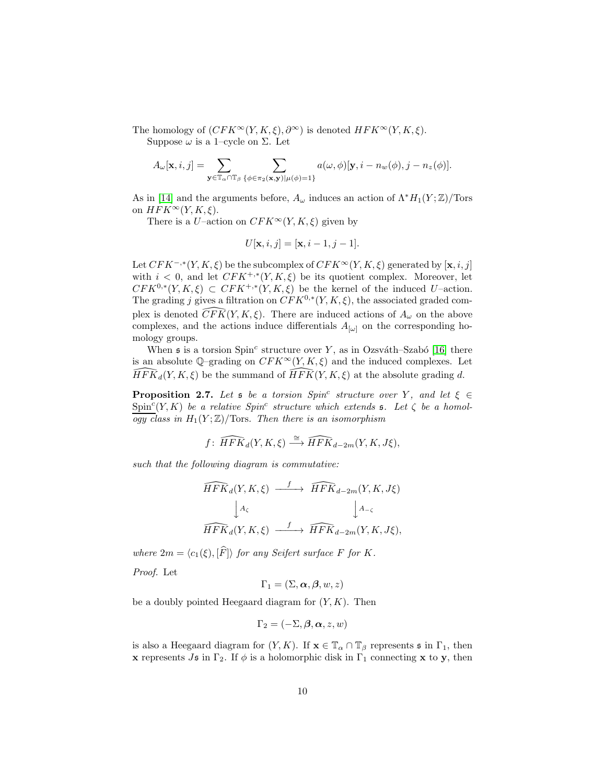The homology of  $(CFK^{\infty}(Y, K, \xi), \partial^{\infty})$  is denoted  $HFK^{\infty}(Y, K, \xi)$ . Suppose  $\omega$  is a 1–cycle on  $\Sigma$ . Let

$$
A_\omega[\mathbf{x}, i, j] = \sum_{\mathbf{y} \in \mathbb{T}_\alpha \cap \mathbb{T}_\beta} \sum_{\{\phi \in \pi_2(\mathbf{x}, \mathbf{y}) | \mu(\phi) = 1\}} a(\omega, \phi)[\mathbf{y}, i - n_w(\phi), j - n_z(\phi)].
$$

As in [\[14\]](#page-16-0) and the arguments before,  $A_{\omega}$  induces an action of  $\Lambda^* H_1(Y; \mathbb{Z})$ /Tors on  $HFK^{\infty}(Y, K, \xi)$ .

There is a U–action on  $CFK^{\infty}(Y, K, \xi)$  given by

$$
U[\mathbf{x}, i, j] = [\mathbf{x}, i - 1, j - 1].
$$

Let  $CFK^{-, *}(Y, K, \xi)$  be the subcomplex of  $CFK^{\infty}(Y, K, \xi)$  generated by  $[\mathbf{x}, i, j]$ with  $i < 0$ , and let  $CFK^{+, *}(Y, K, \xi)$  be its quotient complex. Moreover, let  $CFK^{0,*}(Y,K,\xi) \subset CFK^{+,*}(Y,K,\xi)$  be the kernel of the induced U-action. The grading j gives a filtration on  $CFK^{0,*}(Y, K, \xi)$ , the associated graded complex is denoted  $\widehat{CFK}(Y, K, \xi)$ . There are induced actions of  $A_{\omega}$  on the above complexes, and the actions induce differentials  $A_{\omega}$  on the corresponding homology groups.

When  $\mathfrak s$  is a torsion Spin<sup>c</sup> structure over Y, as in Ozsváth–Szabó [\[16\]](#page-16-2) there is an absolute  $\mathbb{Q}$ –grading on  $CFK^{\infty}(Y, K, \xi)$  and the induced complexes. Let  $\widehat{HFK}_d(Y, K, \xi)$  be the summand of  $\widehat{HFK}(Y, K, \xi)$  at the absolute grading d.

<span id="page-9-0"></span>**Proposition 2.7.** Let  $\mathfrak s$  be a torsion Spin<sup>c</sup> structure over Y, and let  $\xi \in \mathfrak s$  $Spin<sup>c</sup>(Y, K)$  *be a relative Spin<sup>c</sup> structure which extends* **s***. Let*  $\zeta$  *be a homol-* $\overline{ogy}$  class in  $H_1(Y;\mathbb{Z})$ /Tors. Then there is an isomorphism

$$
f\colon \widehat{HFK}_d(Y,K,\xi) \stackrel{\cong}{\longrightarrow} \widehat{HFK}_{d-2m}(Y,K,J\xi),
$$

*such that the following diagram is commutative:*

$$
\begin{aligned}\n\widehat{HFK}_d(Y, K, \xi) &\xrightarrow{f} \widehat{HFK}_{d-2m}(Y, K, J\xi) \\
\downarrow A_{\zeta} &\qquad\qquad\downarrow A_{-\zeta} \\
\widehat{HFK}_d(Y, K, \xi) &\xrightarrow{f} \widehat{HFK}_{d-2m}(Y, K, J\xi),\n\end{aligned}
$$

*where*  $2m = \langle c_1(\xi), [\hat{F}] \rangle$  *for any Seifert surface* F *for* K.

*Proof.* Let

$$
\Gamma_1 = (\Sigma, \boldsymbol{\alpha}, \boldsymbol{\beta}, w, z)
$$

be a doubly pointed Heegaard diagram for  $(Y, K)$ . Then

$$
\Gamma_2 = (-\Sigma, \beta, \alpha, z, w)
$$

is also a Heegaard diagram for  $(Y, K)$ . If  $\mathbf{x} \in \mathbb{T}_\alpha \cap \mathbb{T}_\beta$  represents  $\mathfrak{s}$  in  $\Gamma_1$ , then **x** represents Js in  $\Gamma_2$ . If  $\phi$  is a holomorphic disk in  $\Gamma_1$  connecting **x** to **y**, then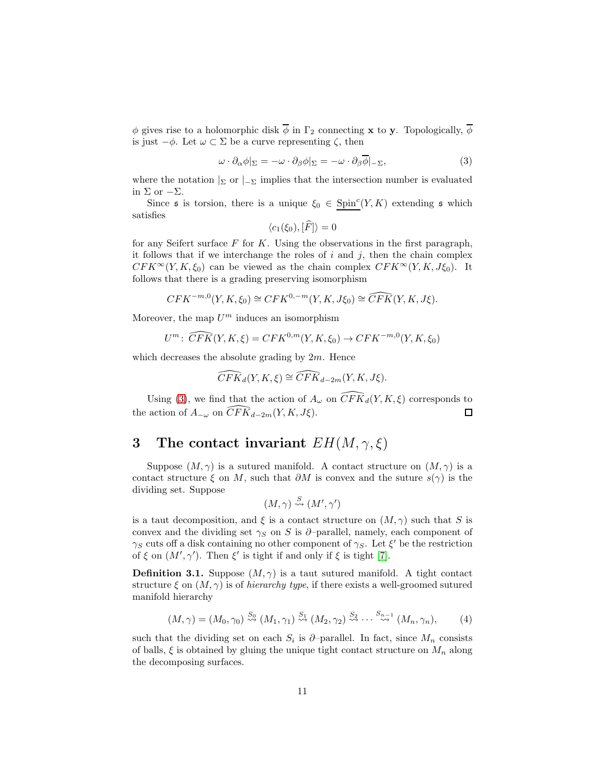$\phi$  gives rise to a holomorphic disk  $\overline{\phi}$  in  $\Gamma_2$  connecting **x** to **y**. Topologically,  $\overline{\phi}$ is just  $-\phi$ . Let  $\omega \subset \Sigma$  be a curve representing  $\zeta$ , then

<span id="page-10-0"></span>
$$
\omega \cdot \partial_{\alpha} \phi |_{\Sigma} = -\omega \cdot \partial_{\beta} \phi |_{\Sigma} = -\omega \cdot \partial_{\beta} \phi |_{-\Sigma}, \tag{3}
$$

where the notation  $\vert_{\Sigma}$  or  $\vert_{-\Sigma}$  implies that the intersection number is evaluated in  $\Sigma$  or  $-\Sigma$ .

Since  $\mathfrak s$  is torsion, there is a unique  $\xi_0 \in \text{Spin}^c(Y, K)$  extending  $\mathfrak s$  which satisfies

$$
\langle c_1(\xi_0), [F] \rangle = 0
$$

for any Seifert surface  $F$  for  $K$ . Using the observations in the first paragraph, it follows that if we interchange the roles of  $i$  and  $j$ , then the chain complex  $CFK^{\infty}(Y, K, \xi_0)$  can be viewed as the chain complex  $CFK^{\infty}(Y, K, J\xi_0)$ . It follows that there is a grading preserving isomorphism

$$
CFK^{-m,0}(Y, K, \xi_0) \cong CFK^{0,-m}(Y, K, J\xi_0) \cong \widehat{CFK}(Y, K, J\xi).
$$

Moreover, the map  $U^m$  induces an isomorphism

$$
U^m: \widehat{CFK}(Y, K, \xi) = CFK^{0,m}(Y, K, \xi_0) \to CFK^{-m,0}(Y, K, \xi_0)
$$

which decreases the absolute grading by  $2m$ . Hence

$$
\widehat{CFK}_d(Y, K, \xi) \cong \widehat{CFK}_{d-2m}(Y, K, J\xi).
$$

Using [\(3\)](#page-10-0), we find that the action of  $A_{\omega}$  on  $\widehat{CFK}_d(Y, K, \xi)$  corresponds to the action of  $A_{-\omega}$  on  $\widehat{CFK}_{d-2m}(Y, K, J\xi)$ .  $\Box$ 

### 3 The contact invariant  $EH(M, \gamma, \xi)$

Suppose  $(M, \gamma)$  is a sutured manifold. A contact structure on  $(M, \gamma)$  is a contact structure  $\xi$  on M, such that  $\partial M$  is convex and the suture  $s(\gamma)$  is the dividing set. Suppose

$$
(M,\gamma) \stackrel{S}{\rightsquigarrow} (M',\gamma')
$$

is a taut decomposition, and  $\xi$  is a contact structure on  $(M, \gamma)$  such that S is convex and the dividing set  $\gamma_S$  on S is ∂–parallel, namely, each component of  $\gamma_S$  cuts off a disk containing no other component of  $\gamma_S$ . Let  $\xi'$  be the restriction of  $\xi$  on  $(M', \gamma')$ . Then  $\xi'$  is tight if and only if  $\xi$  is tight [\[7\]](#page-15-6).

**Definition 3.1.** Suppose  $(M, \gamma)$  is a taut sutured manifold. A tight contact structure  $\xi$  on  $(M, \gamma)$  is of *hierarchy type*, if there exists a well-groomed sutured manifold hierarchy

<span id="page-10-1"></span>
$$
(M,\gamma) = (M_0,\gamma_0) \stackrel{S_0}{\rightsquigarrow} (M_1,\gamma_1) \stackrel{S_1}{\rightsquigarrow} (M_2,\gamma_2) \stackrel{S_2}{\rightsquigarrow} \cdots \stackrel{S_{n-1}}{\rightsquigarrow} (M_n,\gamma_n),
$$
 (4)

such that the dividing set on each  $S_i$  is  $\partial$ -parallel. In fact, since  $M_n$  consists of balls,  $\xi$  is obtained by gluing the unique tight contact structure on  $M_n$  along the decomposing surfaces.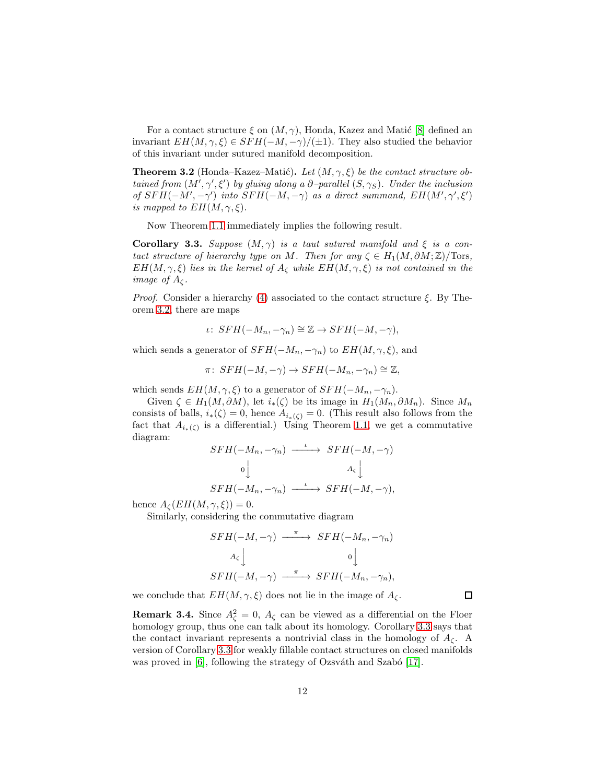For a contact structure  $\xi$  on  $(M, \gamma)$ , Honda, Kazez and Matic [\[8\]](#page-15-7) defined an invariant  $EH(M, \gamma, \xi) \in SFH(-M, -\gamma)/(\pm 1)$ . They also studied the behavior of this invariant under sutured manifold decomposition.

<span id="page-11-0"></span>**Theorem 3.2** (Honda–Kazez–Matić). Let  $(M, \gamma, \xi)$  be the contact structure ob*tained from*  $(M', \gamma', \xi')$  *by gluing along a*  $\partial$ *-parallel*  $(S, \gamma_S)$ *. Under the inclusion of*  $SFH(-M', -\gamma')$  *into*  $SFH(-M, -\gamma)$  *as a direct summand,*  $EH(M', \gamma', \xi')$ *is mapped to*  $EH(M, \gamma, \xi)$ *.* 

Now Theorem [1.1](#page-1-0) immediately implies the following result.

<span id="page-11-1"></span>**Corollary 3.3.** *Suppose*  $(M, \gamma)$  *is a taut sutured manifold and*  $\xi$  *is a contact structure of hierarchy type on* M. Then for any  $\zeta \in H_1(M, \partial M; \mathbb{Z})/\text{Tors}$ ,  $EH(M, \gamma, \xi)$  *lies in the kernel of*  $A_{\zeta}$  *while*  $EH(M, \gamma, \xi)$  *is not contained in the image of*  $A<sub>c</sub>$ *.* 

*Proof.* Consider a hierarchy [\(4\)](#page-10-1) associated to the contact structure  $\xi$ . By Theorem [3.2,](#page-11-0) there are maps

$$
\iota\colon SFH(-M_n,-\gamma_n)\cong \mathbb{Z}\to SFH(-M,-\gamma),
$$

which sends a generator of  $SFH(-M_n, -\gamma_n)$  to  $EH(M, \gamma, \xi)$ , and

$$
\pi\colon SFH(-M,-\gamma) \to SFH(-M_n,-\gamma_n) \cong \mathbb{Z},
$$

which sends  $EH(M, \gamma, \xi)$  to a generator of  $SFH(-M_n, -\gamma_n)$ .

Given  $\zeta \in H_1(M, \partial M)$ , let  $i_*(\zeta)$  be its image in  $H_1(M_n, \partial M_n)$ . Since  $M_n$ consists of balls,  $i_*(\zeta) = 0$ , hence  $A_{i_*(\zeta)} = 0$ . (This result also follows from the fact that  $A_{i_{*}(\zeta)}$  is a differential.) Using Theorem [1.1,](#page-1-0) we get a commutative diagram:

$$
SFH(-M_n, -\gamma_n) \xrightarrow{\iota} SFH(-M, -\gamma)
$$
  
\n
$$
\circ \bigcup_{A_{\zeta}} A_{\zeta}
$$
  
\n
$$
SFH(-M_n, -\gamma_n) \xrightarrow{\iota} SFH(-M, -\gamma),
$$

hence  $A_{\zeta}(EH(M,\gamma,\xi))=0.$ 

Similarly, considering the commutative diagram

$$
SFH(-M, -\gamma) \xrightarrow{\pi} SFH(-M_n, -\gamma_n)
$$
  
\n $A_{\zeta}$ \n $0$ \n $\downarrow$   
\n $SFH(-M, -\gamma) \xrightarrow{\pi} SFH(-M_n, -\gamma_n),$ 

 $\Box$ 

we conclude that  $EH(M,\gamma,\xi)$  does not lie in the image of  $A_\zeta.$ 

**Remark 3.4.** Since  $A_{\zeta}^2 = 0$ ,  $A_{\zeta}$  can be viewed as a differential on the Floer homology group, thus one can talk about its homology. Corollary [3.3](#page-11-1) says that the contact invariant represents a nontrivial class in the homology of  $A_{\mathcal{C}}$ . A version of Corollary [3.3](#page-11-1) for weakly fillable contact structures on closed manifolds was proved in  $[6]$ , following the strategy of Ozsváth and Szabó  $[17]$ .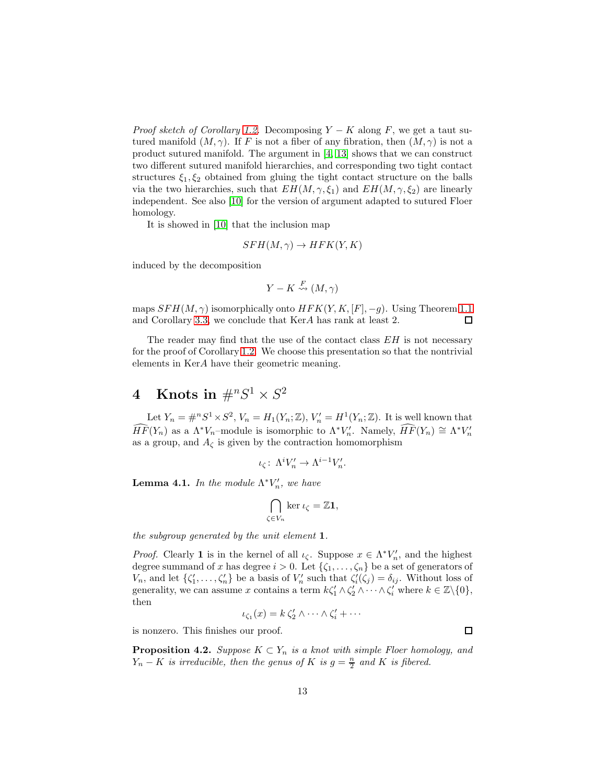*Proof sketch of Corollary* [1.2.](#page-1-1) Decomposing  $Y - K$  along F, we get a taut sutured manifold  $(M, \gamma)$ . If F is not a fiber of any fibration, then  $(M, \gamma)$  is not a product sutured manifold. The argument in [\[4,](#page-15-2) [13\]](#page-16-1) shows that we can construct two different sutured manifold hierarchies, and corresponding two tight contact structures  $\xi_1, \xi_2$  obtained from gluing the tight contact structure on the balls via the two hierarchies, such that  $EH(M, \gamma, \xi_1)$  and  $EH(M, \gamma, \xi_2)$  are linearly independent. See also [\[10\]](#page-15-1) for the version of argument adapted to sutured Floer homology.

It is showed in [\[10\]](#page-15-1) that the inclusion map

$$
SFH(M,\gamma) \to HFK(Y,K)
$$

induced by the decomposition

$$
Y - K \stackrel{F}{\rightsquigarrow} (M, \gamma)
$$

maps  $SFH(M, \gamma)$  isomorphically onto  $HFK(Y, K, [F], -g)$ . Using Theorem [1.1](#page-1-0) and Corollary [3.3,](#page-11-1) we conclude that KerA has rank at least 2. 口

The reader may find that the use of the contact class  $EH$  is not necessary for the proof of Corollary [1.2.](#page-1-1) We choose this presentation so that the nontrivial elements in KerA have their geometric meaning.

# $4 \quad \textbf{Knots in} \; \#^n S^1 \times S^2$

Let  $Y_n = \#^n S^1 \times S^2$ ,  $V_n = H_1(Y_n; \mathbb{Z})$ ,  $V'_n = H^1(Y_n; \mathbb{Z})$ . It is well known that  $\widehat{HF}(Y_n)$  as a  $\Lambda^* V_n$ -module is isomorphic to  $\Lambda^* V_n'$ . Namely,  $\widehat{HF}(Y_n) \cong \Lambda^* V_n'$ as a group, and  $A_{\zeta}$  is given by the contraction homomorphism

$$
\iota_{\zeta}\colon\thinspace \Lambda^i V'_n \to \Lambda^{i-1} V'_n.
$$

<span id="page-12-0"></span>**Lemma 4.1.** *In the module*  $\Lambda^* V_n'$ *, we have* 

$$
\bigcap_{\zeta \in V_n} \ker \iota_{\zeta} = \mathbb{Z} \mathbf{1},
$$

*the subgroup generated by the unit element* 1*.*

*Proof.* Clearly **1** is in the kernel of all  $\iota_{\zeta}$ . Suppose  $x \in \Lambda^* V_n'$ , and the highest degree summand of x has degree  $i > 0$ . Let  $\{\zeta_1, \ldots, \zeta_n\}$  be a set of generators of  $V_n$ , and let  $\{\zeta'_1,\ldots,\zeta'_n\}$  be a basis of  $V'_n$  such that  $\zeta'_i(\zeta_j) = \delta_{ij}$ . Without loss of generality, we can assume x contains a term  $k\zeta_1' \wedge \zeta_2' \wedge \cdots \wedge \zeta_i'$  where  $k \in \mathbb{Z}\backslash \{0\}$ , then

$$
\iota_{\zeta_1}(x) = k \, \zeta_2' \wedge \cdots \wedge \zeta_i' + \cdots
$$

is nonzero. This finishes our proof.

<span id="page-12-1"></span>**Proposition 4.2.** *Suppose*  $K \subset Y_n$  *is a knot with simple Floer homology, and*  $Y_n - K$  *is irreducible, then the genus of* K *is*  $g = \frac{n}{2}$  *and* K *is fibered.* 

 $\Box$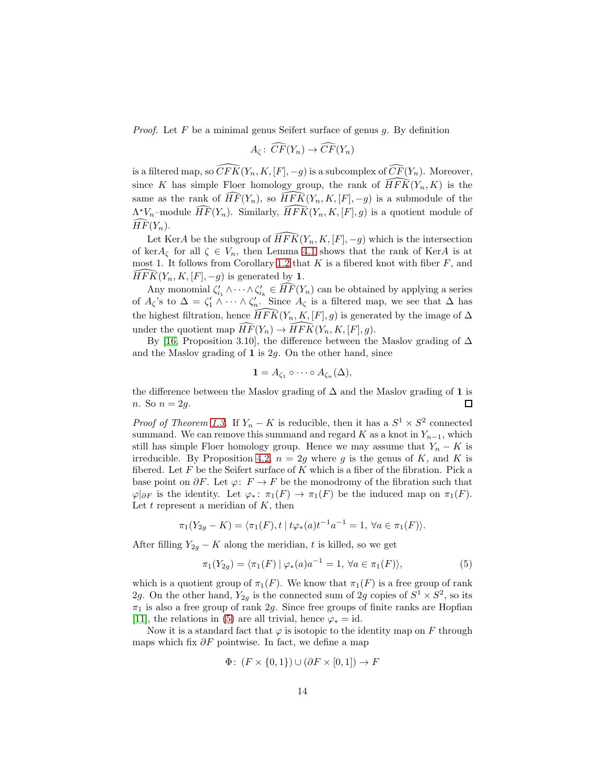*Proof.* Let F be a minimal genus Seifert surface of genus g. By definition

$$
A_{\zeta} \colon \widehat{CF}(Y_n) \to \widehat{CF}(Y_n)
$$

is a filtered map, so  $\widehat{CFK}(Y_n, K, [F], -g)$  is a subcomplex of  $\widehat{CF}(Y_n)$ . Moreover, since K has simple Floer homology group, the rank of  $\widehat{HFK}(Y_n, K)$  is the same as the rank of  $\widehat{HF}(Y_n)$ , so  $\widehat{HFK}(Y_n, K, [F], -g)$  is a submodule of the  $\Lambda^* V_n$ -module  $\widehat{HF}(Y_n)$ . Similarly,  $\widehat{HFK}(Y_n, K, [F], g)$  is a quotient module of  $\widehat{HF}(Y_n)$ .

Let KerA be the subgroup of  $\widehat{HFK}(Y_n, K, [F], -g)$  which is the intersection of ker $A_{\zeta}$  for all  $\zeta \in V_n$ , then Lemma [4.1](#page-12-0) shows that the rank of KerA is at most 1. It follows from Corollary [1.2](#page-1-1) that  $K$  is a fibered knot with fiber  $F$ , and  $\widehat{HFK}(Y_n, K, [F], -a)$  is generated by 1.  $\widehat{HFK}(Y_n, K, [F], -g)$  is generated by 1.

Any monomial  $\zeta'_{i_1} \wedge \cdots \wedge \zeta'_{i_k} \in \widehat{HF}(Y_n)$  can be obtained by applying a series of  $A_{\zeta}$ 's to  $\Delta = \zeta_1' \wedge \cdots \wedge \zeta_n'$ . Since  $A_{\zeta}$  is a filtered map, we see that  $\Delta$  has the highest filtration, hence  $\widehat{HFK}(Y_n, K, [F], g)$  is generated by the image of  $\Delta$ under the quotient map  $\widehat{HF}(Y_n) \to \widehat{HFK}(Y_n, K, [F], g)$ .

By [\[16,](#page-16-2) Proposition 3.10], the difference between the Maslov grading of  $\Delta$ and the Maslov grading of  $1$  is  $2g$ . On the other hand, since

$$
\mathbf{1} = A_{\zeta_1} \circ \cdots \circ A_{\zeta_n}(\Delta),
$$

the difference between the Maslov grading of  $\Delta$  and the Maslov grading of 1 is n. So  $n = 2g$ . 口

*Proof of Theorem [1.3.](#page-3-0)* If  $Y_n - K$  is reducible, then it has a  $S^1 \times S^2$  connected summand. We can remove this summand and regard K as a knot in  $Y_{n-1}$ , which still has simple Floer homology group. Hence we may assume that  $Y_n - K$  is irreducible. By Proposition [4.2,](#page-12-1)  $n = 2g$  where g is the genus of K, and K is fibered. Let  $F$  be the Seifert surface of  $K$  which is a fiber of the fibration. Pick a base point on  $\partial F$ . Let  $\varphi: F \to F$  be the monodromy of the fibration such that  $\varphi|_{\partial F}$  is the identity. Let  $\varphi_*\colon \pi_1(F) \to \pi_1(F)$  be the induced map on  $\pi_1(F)$ . Let  $t$  represent a meridian of  $K$ , then

$$
\pi_1(Y_{2g} - K) = \langle \pi_1(F), t \mid t\varphi_*(a)t^{-1}a^{-1} = 1, \ \forall a \in \pi_1(F) \rangle.
$$

After filling  $Y_{2g} - K$  along the meridian, t is killed, so we get

<span id="page-13-0"></span>
$$
\pi_1(Y_{2g}) = \langle \pi_1(F) | \varphi_*(a) a^{-1} = 1, \, \forall a \in \pi_1(F) \rangle,
$$
\n(5)

which is a quotient group of  $\pi_1(F)$ . We know that  $\pi_1(F)$  is a free group of rank 2g. On the other hand,  $Y_{2g}$  is the connected sum of 2g copies of  $S^1 \times S^2$ , so its  $\pi_1$  is also a free group of rank  $2g$ . Since free groups of finite ranks are Hopfian [\[11\]](#page-16-9), the relations in [\(5\)](#page-13-0) are all trivial, hence  $\varphi_* = id$ .

Now it is a standard fact that  $\varphi$  is isotopic to the identity map on F through maps which fix  $\partial F$  pointwise. In fact, we define a map

$$
\Phi\colon (F \times \{0,1\}) \cup (\partial F \times [0,1]) \to F
$$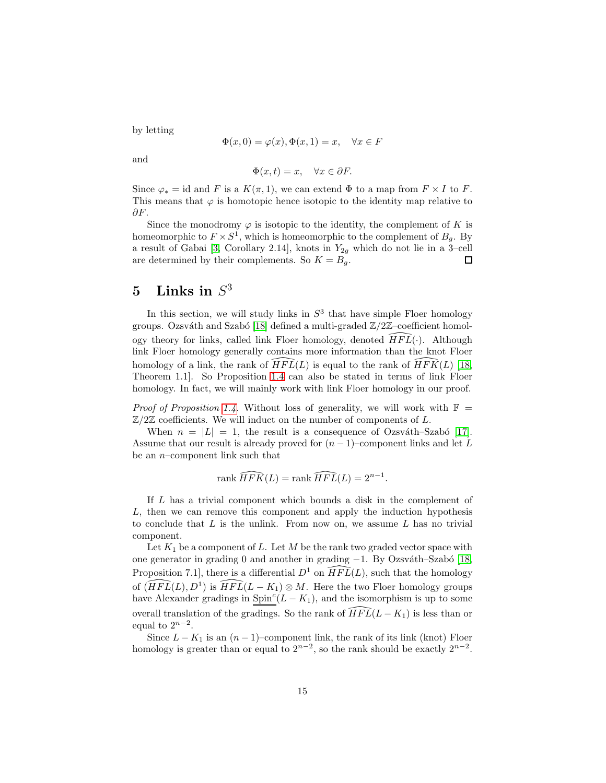by letting

$$
\Phi(x,0) = \varphi(x), \Phi(x,1) = x, \quad \forall x \in F
$$

and

$$
\Phi(x,t) = x, \quad \forall x \in \partial F.
$$

Since  $\varphi_* = \text{id}$  and F is a  $K(\pi, 1)$ , we can extend  $\Phi$  to a map from  $F \times I$  to F. This means that  $\varphi$  is homotopic hence isotopic to the identity map relative to  $\partial F$ .

Since the monodromy  $\varphi$  is isotopic to the identity, the complement of K is homeomorphic to  $F \times S^1$ , which is homeomorphic to the complement of  $B_g$ . By a result of Gabai [\[3,](#page-15-9) Corollary 2.14], knots in  $Y_{2g}$  which do not lie in a 3-cell are determined by their complements. So  $K = B<sub>q</sub>$ .  $\Box$ 

## $5$  Links in  $S^3$

In this section, we will study links in  $S<sup>3</sup>$  that have simple Floer homology groups. Ozsváth and Szabó [\[18\]](#page-16-10) defined a multi-graded  $\mathbb{Z}/2\mathbb{Z}$ –coefficient homology theory for links, called link Floer homology, denoted  $HFL(·)$ . Although link Floer homology generally contains more information than the knot Floer homology of a link, the rank of  $\widehat{HFL}(L)$  is equal to the rank of  $\widehat{HFK}(L)$  [\[18,](#page-16-10) Theorem 1.1]. So Proposition [1.4](#page-3-1) can also be stated in terms of link Floer homology. In fact, we will mainly work with link Floer homology in our proof.

*Proof of Proposition [1.4.](#page-3-1)* Without loss of generality, we will work with  $\mathbb{F}$  =  $\mathbb{Z}/2\mathbb{Z}$  coefficients. We will induct on the number of components of L.

When  $n = |L| = 1$ , the result is a consequence of Ozsváth–Szabó [\[17\]](#page-16-6). Assume that our result is already proved for  $(n-1)$ –component links and let L be an  $n$ -component link such that

$$
\operatorname{rank}\widehat{HFK}(L) = \operatorname{rank}\widehat{HFL}(L) = 2^{n-1}.
$$

If L has a trivial component which bounds a disk in the complement of L, then we can remove this component and apply the induction hypothesis to conclude that  $L$  is the unlink. From now on, we assume  $L$  has no trivial component.

Let  $K_1$  be a component of L. Let M be the rank two graded vector space with one generator in grading 0 and another in grading -1. By Ozsváth–Szabó [\[18,](#page-16-10) Proposition 7.1, there is a differential  $D^1$  on  $\widehat{HFL}(L)$ , such that the homology of  $(\widehat{HFL}(L), D^1)$  is  $\widehat{HFL}(L - K_1) \otimes M$ . Here the two Floer homology groups have Alexander gradings in  $\text{Spin}^c(L-K_1)$ , and the isomorphism is up to some overall translation of the gradings. So the rank of  $\widehat{HFL}(L - K_1)$  is less than or equal to  $2^{n-2}$ .

Since  $L - K_1$  is an  $(n - 1)$ –component link, the rank of its link (knot) Floer homology is greater than or equal to  $2^{n-2}$ , so the rank should be exactly  $2^{n-2}$ .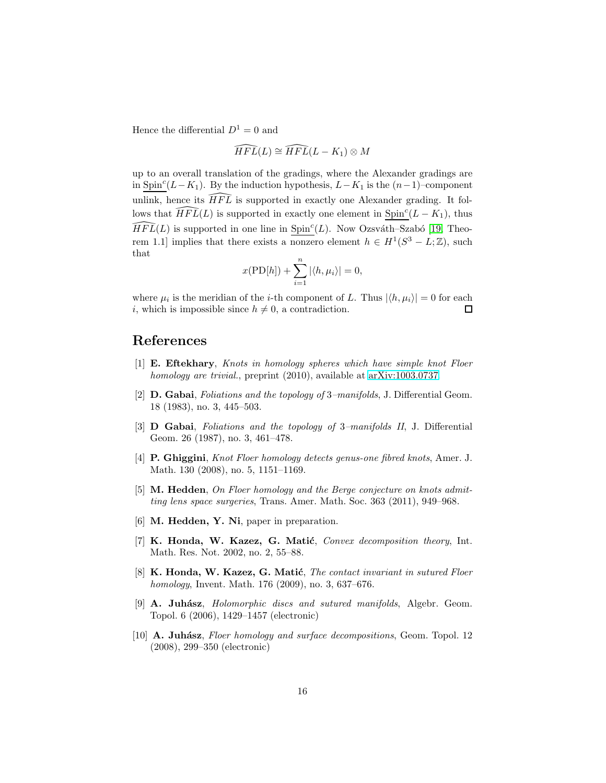Hence the differential  $D^1 = 0$  and

$$
\widehat{HFL}(L) \cong \widehat{HFL}(L - K_1) \otimes M
$$

up to an overall translation of the gradings, where the Alexander gradings are in Spin<sup>c</sup>( $L-K_1$ ). By the induction hypothesis,  $L-K_1$  is the  $(n-1)$ –component unlink, hence its  $HFL$  is supported in exactly one Alexander grading. It follows that  $\widehat{HFL}(L)$  is supported in exactly one element in  $\text{Spin}^c(L - K_1)$ , thus  $\widehat{HFL}(L)$  is supported in one line in Spin<sup>c</sup>(*L*). Now Ozsváth–Szabó [\[19,](#page-16-11) Theorem 1.1] implies that there exists a nonzero element  $h \in H^1(S^3 - L; \mathbb{Z})$ , such that

$$
x(\mathrm{PD}[h]) + \sum_{i=1}^{n} |\langle h, \mu_i \rangle| = 0,
$$

where  $\mu_i$  is the meridian of the *i*-th component of L. Thus  $|\langle h, \mu_i \rangle| = 0$  for each i, which is impossible since  $h \neq 0$ , a contradiction. □

### <span id="page-15-4"></span>References

- [1] E. Eftekhary, *Knots in homology spheres which have simple knot Floer homology are trivial.*, preprint (2010), available at [arXiv:1003.0737.](http://arxiv.org/abs/1003.0737)
- <span id="page-15-5"></span>[2] D. Gabai, *Foliations and the topology of* 3*–manifolds*, J. Differential Geom. 18 (1983), no. 3, 445–503.
- <span id="page-15-9"></span>[3] D Gabai, *Foliations and the topology of* 3*–manifolds II*, J. Differential Geom. 26 (1987), no. 3, 461–478.
- <span id="page-15-2"></span>[4] P. Ghiggini, *Knot Floer homology detects genus-one fibred knots*, Amer. J. Math. 130 (2008), no. 5, 1151–1169.
- <span id="page-15-3"></span>[5] M. Hedden, *On Floer homology and the Berge conjecture on knots admitting lens space surgeries*, Trans. Amer. Math. Soc. 363 (2011), 949–968.
- <span id="page-15-8"></span><span id="page-15-6"></span>[6] M. Hedden, Y. Ni, paper in preparation.
- [7] K. Honda, W. Kazez, G. Matić, *Convex decomposition theory*, Int. Math. Res. Not. 2002, no. 2, 55–88.
- <span id="page-15-7"></span>[8] **K. Honda, W. Kazez, G. Matić**, *The contact invariant in sutured Floer homology*, Invent. Math. 176 (2009), no. 3, 637–676.
- <span id="page-15-0"></span>[9] A. Juhász, *Holomorphic discs and sutured manifolds*, Algebr. Geom. Topol. 6 (2006), 1429–1457 (electronic)
- <span id="page-15-1"></span>[10] **A. Juhász**, *Floer homology and surface decompositions*, Geom. Topol. 12 (2008), 299–350 (electronic)